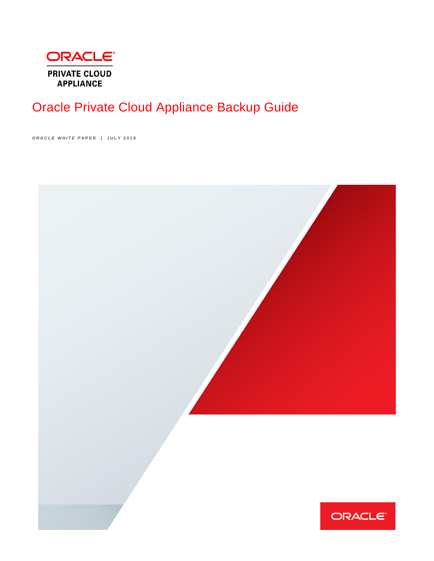

# Oracle Private Cloud Appliance Backup Guide

*O R A C L E W H I T E P* **A P E R | J U L Y 2 0 1 9** 

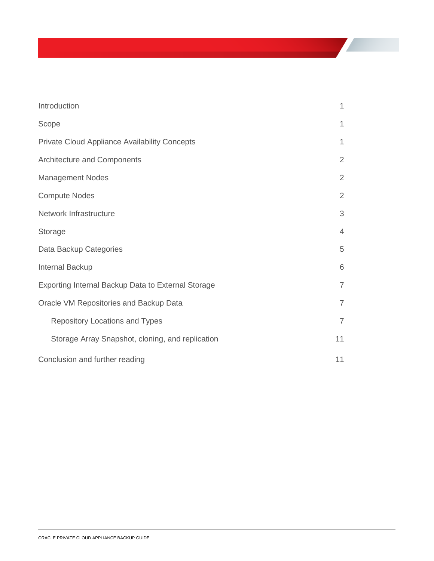| Introduction                                         | $\mathbf 1$    |  |
|------------------------------------------------------|----------------|--|
| Scope                                                | $\mathbf 1$    |  |
| <b>Private Cloud Appliance Availability Concepts</b> | $\mathbf 1$    |  |
| Architecture and Components                          | $\overline{2}$ |  |
| <b>Management Nodes</b>                              | $\overline{2}$ |  |
| <b>Compute Nodes</b>                                 | $\overline{2}$ |  |
| Network Infrastructure                               | 3              |  |
| Storage                                              | $\overline{4}$ |  |
| Data Backup Categories                               | 5              |  |
| Internal Backup                                      | 6              |  |
| Exporting Internal Backup Data to External Storage   | $\overline{7}$ |  |
| Oracle VM Repositories and Backup Data               | $\overline{7}$ |  |
| Repository Locations and Types                       | $\overline{7}$ |  |
| Storage Array Snapshot, cloning, and replication     | 11             |  |
| Conclusion and further reading                       |                |  |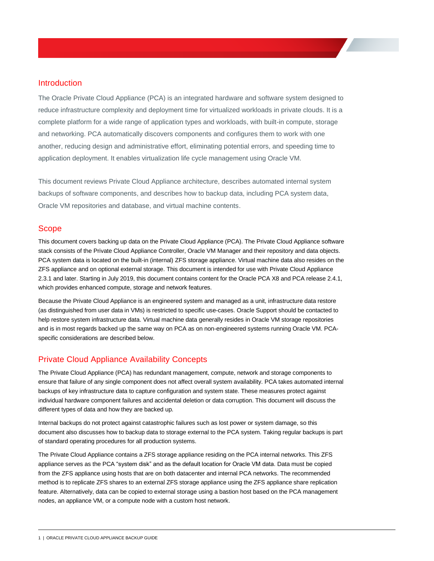# <span id="page-2-0"></span>Introduction

The Oracle Private Cloud Appliance (PCA) is an integrated hardware and software system designed to reduce infrastructure complexity and deployment time for virtualized workloads in private clouds. It is a complete platform for a wide range of application types and workloads, with built-in compute, storage and networking. PCA automatically discovers components and configures them to work with one another, reducing design and administrative effort, eliminating potential errors, and speeding time to application deployment. It enables virtualization life cycle management using Oracle VM.

This document reviews Private Cloud Appliance architecture, describes automated internal system backups of software components, and describes how to backup data, including PCA system data, Oracle VM repositories and database, and virtual machine contents.

## <span id="page-2-1"></span>Scope

This document covers backing up data on the Private Cloud Appliance (PCA). The Private Cloud Appliance software stack consists of the Private Cloud Appliance Controller, Oracle VM Manager and their repository and data objects. PCA system data is located on the built-in (internal) ZFS storage appliance. Virtual machine data also resides on the ZFS appliance and on optional external storage. This document is intended for use with Private Cloud Appliance 2.3.1 and later. Starting in July 2019, this document contains content for the Oracle PCA X8 and PCA release 2.4.1, which provides enhanced compute, storage and network features.

Because the Private Cloud Appliance is an engineered system and managed as a unit, infrastructure data restore (as distinguished from user data in VMs) is restricted to specific use-cases. Oracle Support should be contacted to help restore system infrastructure data. Virtual machine data generally resides in Oracle VM storage repositories and is in most regards backed up the same way on PCA as on non-engineered systems running Oracle VM. PCAspecific considerations are described below.

# <span id="page-2-2"></span>Private Cloud Appliance Availability Concepts

The Private Cloud Appliance (PCA) has redundant management, compute, network and storage components to ensure that failure of any single component does not affect overall system availability. PCA takes automated internal backups of key infrastructure data to capture configuration and system state. These measures protect against individual hardware component failures and accidental deletion or data corruption. This document will discuss the different types of data and how they are backed up.

Internal backups do not protect against catastrophic failures such as lost power or system damage, so this document also discusses how to backup data to storage external to the PCA system. Taking regular backups is part of standard operating procedures for all production systems.

The Private Cloud Appliance contains a ZFS storage appliance residing on the PCA internal networks. This ZFS appliance serves as the PCA "system disk" and as the default location for Oracle VM data. Data must be copied from the ZFS appliance using hosts that are on both datacenter and internal PCA networks. The recommended method is to replicate ZFS shares to an external ZFS storage appliance using the ZFS appliance share replication feature. Alternatively, data can be copied to external storage using a bastion host based on the PCA management nodes, an appliance VM, or a compute node with a custom host network.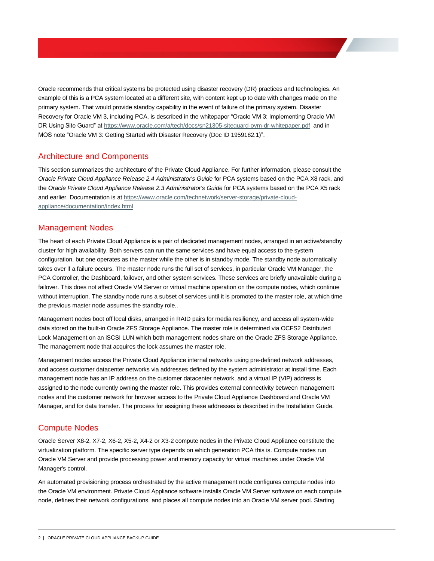Oracle recommends that critical systems be protected using disaster recovery (DR) practices and technologies. An example of this is a PCA system located at a different site, with content kept up to date with changes made on the primary system. That would provide standby capability in the event of failure of the primary system. Disaster Recovery for Oracle VM 3, including PCA, is described in the whitepaper "Oracle VM 3: Implementing Oracle VM DR Using Site Guard" at<https://www.oracle.com/a/tech/docs/sn21305-siteguard-ovm-dr-whitepaper.pdf>and in MOS note "Oracle VM 3: Getting Started with Disaster Recovery (Doc ID 1959182.1)".

# <span id="page-3-0"></span>Architecture and Components

This section summarizes the architecture of the Private Cloud Appliance. For further information, please consult the *Oracle Private Cloud Appliance Release 2.4 Administrator's Guide* for PCA systems based on the PCA X8 rack, and the *Oracle Private Cloud Appliance Release 2.3 Administrator's Guide* for PCA systems based on the PCA X5 rack and earlier. Documentation is a[t https://www.oracle.com/technetwork/server-storage/private-cloud](https://www.oracle.com/technetwork/server-storage/private-cloud-appliance/documentation/index.html)[appliance/documentation/index.html](https://www.oracle.com/technetwork/server-storage/private-cloud-appliance/documentation/index.html)

## <span id="page-3-1"></span>Management Nodes

The heart of each Private Cloud Appliance is a pair of dedicated management nodes, arranged in an active/standby cluster for high availability. Both servers can run the same services and have equal access to the system configuration, but one operates as the master while the other is in standby mode. The standby node automatically takes over if a failure occurs. The master node runs the full set of services, in particular Oracle VM Manager, the PCA Controller, the Dashboard, failover, and other system services. These services are briefly unavailable during a failover. This does not affect Oracle VM Server or virtual machine operation on the compute nodes, which continue without interruption. The standby node runs a subset of services until it is promoted to the master role, at which time the previous master node assumes the standby role..

Management nodes boot off local disks, arranged in RAID pairs for media resiliency, and access all system-wide data stored on the built-in Oracle ZFS Storage Appliance. The master role is determined via OCFS2 Distributed Lock Management on an iSCSI LUN which both management nodes share on the Oracle ZFS Storage Appliance. The management node that acquires the lock assumes the master role.

Management nodes access the Private Cloud Appliance internal networks using pre-defined network addresses, and access customer datacenter networks via addresses defined by the system administrator at install time. Each management node has an IP address on the customer datacenter network, and a virtual IP (VIP) address is assigned to the node currently owning the master role. This provides external connectivity between management nodes and the customer network for browser access to the Private Cloud Appliance Dashboard and Oracle VM Manager, and for data transfer. The process for assigning these addresses is described in the Installation Guide.

# <span id="page-3-2"></span>Compute Nodes

Oracle Server X8-2, X7-2, X6-2, X5-2, X4-2 or X3-2 compute nodes in the Private Cloud Appliance constitute the virtualization platform. The specific server type depends on which generation PCA this is. Compute nodes run Oracle VM Server and provide processing power and memory capacity for virtual machines under Oracle VM Manager's control.

An automated provisioning process orchestrated by the active management node configures compute nodes into the Oracle VM environment. Private Cloud Appliance software installs Oracle VM Server software on each compute node, defines their network configurations, and places all compute nodes into an Oracle VM server pool. Starting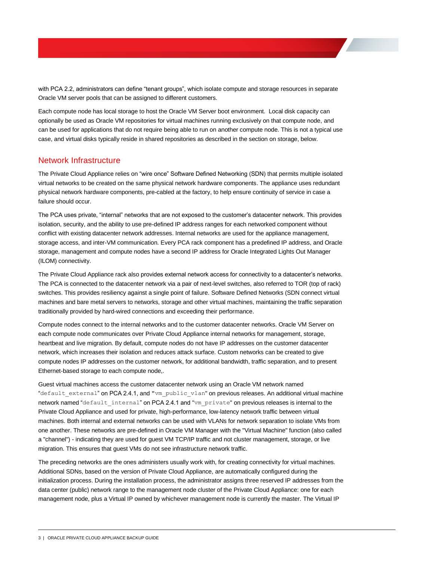with PCA 2.2, administrators can define "tenant groups", which isolate compute and storage resources in separate Oracle VM server pools that can be assigned to different customers.

Each compute node has local storage to host the Oracle VM Server boot environment. Local disk capacity can optionally be used as Oracle VM repositories for virtual machines running exclusively on that compute node, and can be used for applications that do not require being able to run on another compute node. This is not a typical use case, and virtual disks typically reside in shared repositories as described in the section on storage, below.

## <span id="page-4-0"></span>Network Infrastructure

The Private Cloud Appliance relies on "wire once" Software Defined Networking (SDN) that permits multiple isolated virtual networks to be created on the same physical network hardware components. The appliance uses redundant physical network hardware components, pre-cabled at the factory, to help ensure continuity of service in case a failure should occur.

The PCA uses private, "internal" networks that are not exposed to the customer's datacenter network. This provides isolation, security, and the ability to use pre-defined IP address ranges for each networked component without conflict with existing datacenter network addresses. Internal networks are used for the appliance management, storage access, and inter-VM communication. Every PCA rack component has a predefined IP address, and Oracle storage, management and compute nodes have a second IP address for Oracle Integrated Lights Out Manager (ILOM) connectivity.

The Private Cloud Appliance rack also provides external network access for connectivity to a datacenter's networks. The PCA is connected to the datacenter network via a pair of next-level switches, also referred to TOR (top of rack) switches. This provides resiliency against a single point of failure. Software Defined Networks (SDN connect virtual machines and bare metal servers to networks, storage and other virtual machines, maintaining the traffic separation traditionally provided by hard-wired connections and exceeding their performance.

Compute nodes connect to the internal networks and to the customer datacenter networks. Oracle VM Server on each compute node communicates over Private Cloud Appliance internal networks for management, storage, heartbeat and live migration. By default, compute nodes do not have IP addresses on the customer datacenter network, which increases their isolation and reduces attack surface. Custom networks can be created to give compute nodes IP addresses on the customer network, for additional bandwidth, traffic separation, and to present Ethernet-based storage to each compute node,.

Guest virtual machines access the customer datacenter network using an Oracle VM network named "default\_external" on PCA 2.4.1, and "vm\_public\_vlan" on previous releases. An additional virtual machine network named "default internal" on PCA 2.4.1 and "vm private" on previous releases is internal to the Private Cloud Appliance and used for private, high-performance, low-latency network traffic between virtual machines. Both internal and external networks can be used with VLANs for network separation to isolate VMs from one another. These networks are pre-defined in Oracle VM Manager with the "Virtual Machine" function (also called a "channel") - indicating they are used for guest VM TCP/IP traffic and not cluster management, storage, or live migration. This ensures that guest VMs do not see infrastructure network traffic.

The preceding networks are the ones administers usually work with, for creating connectivity for virtual machines. Additional SDNs, based on the version of Private Cloud Appliance, are automatically configured during the initialization process. During the installation process, the administrator assigns three reserved IP addresses from the data center (public) network range to the management node cluster of the Private Cloud Appliance: one for each management node, plus a Virtual IP owned by whichever management node is currently the master. The Virtual IP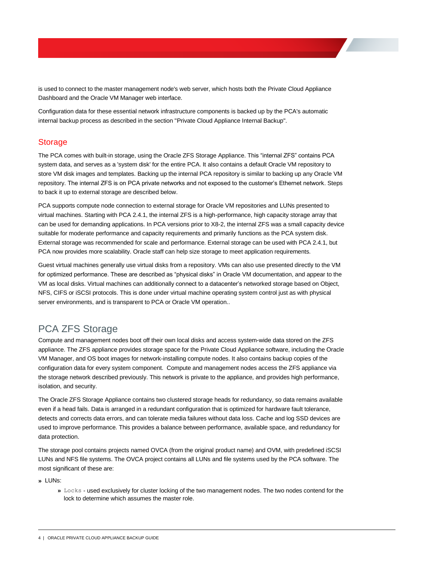is used to connect to the master management node's web server, which hosts both the Private Cloud Appliance Dashboard and the Oracle VM Manager web interface.

Configuration data for these essential network infrastructure components is backed up by the PCA's automatic internal backup process as described in the section "Private Cloud Appliance Internal Backup".

# <span id="page-5-0"></span>**Storage**

The PCA comes with built-in storage, using the Oracle ZFS Storage Appliance. This "internal ZFS" contains PCA system data, and serves as a 'system disk' for the entire PCA. It also contains a default Oracle VM repository to store VM disk images and templates. Backing up the internal PCA repository is similar to backing up any Oracle VM repository. The internal ZFS is on PCA private networks and not exposed to the customer's Ethernet network. Steps to back it up to external storage are described below.

PCA supports compute node connection to external storage for Oracle VM repositories and LUNs presented to virtual machines. Starting with PCA 2.4.1, the internal ZFS is a high-performance, high capacity storage array that can be used for demanding applications. In PCA versions prior to X8-2, the internal ZFS was a small capacity device suitable for moderate performance and capacity requirements and primarily functions as the PCA system disk. External storage was recommended for scale and performance. External storage can be used with PCA 2.4.1, but PCA now provides more scalability. Oracle staff can help size storage to meet application requirements.

Guest virtual machines generally use virtual disks from a repository. VMs can also use presented directly to the VM for optimized performance. These are described as "physical disks" in Oracle VM documentation, and appear to the VM as local disks. Virtual machines can additionally connect to a datacenter's networked storage based on Object, NFS, CIFS or iSCSI protocols. This is done under virtual machine operating system control just as with physical server environments, and is transparent to PCA or Oracle VM operation..

# PCA ZFS Storage

Compute and management nodes boot off their own local disks and access system-wide data stored on the ZFS appliance. The ZFS appliance provides storage space for the Private Cloud Appliance software, including the Oracle VM Manager, and OS boot images for network-installing compute nodes. It also contains backup copies of the configuration data for every system component. Compute and management nodes access the ZFS appliance via the storage network described previously. This network is private to the appliance, and provides high performance, isolation, and security.

The Oracle ZFS Storage Appliance contains two clustered storage heads for redundancy, so data remains available even if a head fails. Data is arranged in a redundant configuration that is optimized for hardware fault tolerance, detects and corrects data errors, and can tolerate media failures without data loss. Cache and log SSD devices are used to improve performance. This provides a balance between performance, available space, and redundancy for data protection.

The storage pool contains projects named OVCA (from the original product name) and OVM, with predefined iSCSI LUNs and NFS file systems. The OVCA project contains all LUNs and file systems used by the PCA software. The most significant of these are:

**»** LUNs:

**»** Locks - used exclusively for cluster locking of the two management nodes. The two nodes contend for the lock to determine which assumes the master role.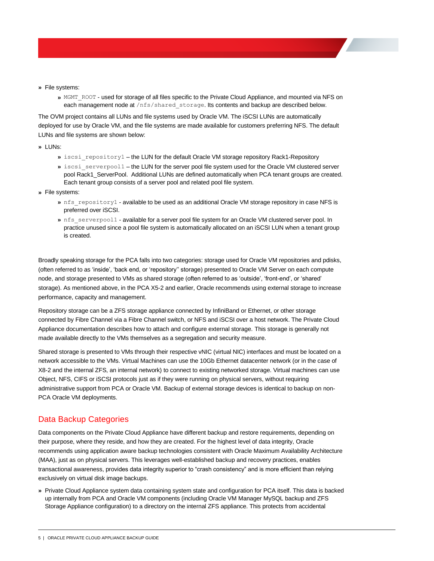- **»** File systems:
	- **»** MGMT\_ROOT used for storage of all files specific to the Private Cloud Appliance, and mounted via NFS on each management node at /nfs/shared\_storage. Its contents and backup are described below.

The OVM project contains all LUNs and file systems used by Oracle VM. The iSCSI LUNs are automatically deployed for use by Oracle VM, and the file systems are made available for customers preferring NFS. The default LUNs and file systems are shown below:

#### **»** LUNs:

- **»** iscsi\_repository1 the LUN for the default Oracle VM storage repository Rack1-Repository
- **»** iscsi\_serverpool1 the LUN for the server pool file system used for the Oracle VM clustered server pool Rack1\_ServerPool. Additional LUNs are defined automatically when PCA tenant groups are created. Each tenant group consists of a server pool and related pool file system.
- **»** File systems:
	- **»** nfs\_repository1 available to be used as an additional Oracle VM storage repository in case NFS is preferred over iSCSI.
	- » nfs serverpool1 available for a server pool file system for an Oracle VM clustered server pool. In practice unused since a pool file system is automatically allocated on an iSCSI LUN when a tenant group is created.

Broadly speaking storage for the PCA falls into two categories: storage used for Oracle VM repositories and pdisks, (often referred to as 'inside', 'back end, or 'repository'' storage) presented to Oracle VM Server on each compute node, and storage presented to VMs as shared storage (often referred to as 'outside', 'front-end', or 'shared' storage). As mentioned above, in the PCA X5-2 and earlier, Oracle recommends using external storage to increase performance, capacity and management.

Repository storage can be a ZFS storage appliance connected by InfiniBand or Ethernet, or other storage connected by Fibre Channel via a Fibre Channel switch, or NFS and iSCSI over a host network. The Private Cloud Appliance documentation describes how to attach and configure external storage. This storage is generally not made available directly to the VMs themselves as a segregation and security measure.

Shared storage is presented to VMs through their respective vNIC (virtual NIC) interfaces and must be located on a network accessible to the VMs. Virtual Machines can use the 10Gb Ethernet datacenter network (or in the case of X8-2 and the internal ZFS, an internal network) to connect to existing networked storage. Virtual machines can use Object, NFS, CIFS or iSCSI protocols just as if they were running on physical servers, without requiring administrative support from PCA or Oracle VM. Backup of external storage devices is identical to backup on non-PCA Oracle VM deployments.

# <span id="page-6-0"></span>Data Backup Categories

Data components on the Private Cloud Appliance have different backup and restore requirements, depending on their purpose, where they reside, and how they are created. For the highest level of data integrity, Oracle recommends using application aware backup technologies consistent with Oracle Maximum Availability Architecture (MAA), just as on physical servers. This leverages well-established backup and recovery practices, enables transactional awareness, provides data integrity superior to "crash consistency" and is more efficient than relying exclusively on virtual disk image backups.

**»** Private Cloud Appliance system data containing system state and configuration for PCA itself. This data is backed up internally from PCA and Oracle VM components (including Oracle VM Manager MySQL backup and ZFS Storage Appliance configuration) to a directory on the internal ZFS appliance. This protects from accidental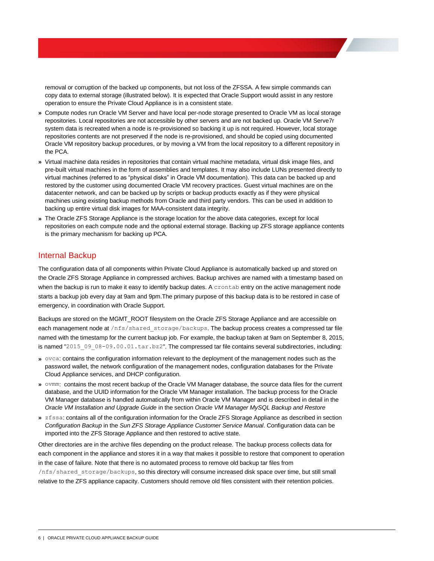removal or corruption of the backed up components, but not loss of the ZFSSA. A few simple commands can copy data to external storage (illustrated below). It is expected that Oracle Support would assist in any restore operation to ensure the Private Cloud Appliance is in a consistent state.

- **»** Compute nodes run Oracle VM Server and have local per-node storage presented to Oracle VM as local storage repositories. Local repositories are not accessible by other servers and are not backed up. Oracle VM Serve7r system data is recreated when a node is re-provisioned so backing it up is not required. However, local storage repositories contents are not preserved if the node is re-provisioned, and should be copied using documented Oracle VM repository backup procedures, or by moving a VM from the local repository to a different repository in the PCA.
- **»** Virtual machine data resides in repositories that contain virtual machine metadata, virtual disk image files, and pre-built virtual machines in the form of assemblies and templates. It may also include LUNs presented directly to virtual machines (referred to as "physical disks" in Oracle VM documentation). This data can be backed up and restored by the customer using documented Oracle VM recovery practices. Guest virtual machines are on the datacenter network, and can be backed up by scripts or backup products exactly as if they were physical machines using existing backup methods from Oracle and third party vendors. This can be used in addition to backing up entire virtual disk images for MAA-consistent data integrity.
- **»** The Oracle ZFS Storage Appliance is the storage location for the above data categories, except for local repositories on each compute node and the optional external storage. Backing up ZFS storage appliance contents is the primary mechanism for backing up PCA.

# <span id="page-7-0"></span>Internal Backup

The configuration data of all components within Private Cloud Appliance is automatically backed up and stored on the Oracle ZFS Storage Appliance in compressed archives. Backup archives are named with a timestamp based on when the backup is run to make it easy to identify backup dates. A crontab entry on the active management node starts a backup job every day at 9am and 9pm.The primary purpose of this backup data is to be restored in case of emergency, in coordination with Oracle Support.

Backups are stored on the MGMT\_ROOT filesystem on the Oracle ZFS Storage Appliance and are accessible on each management node at /nfs/shared\_storage/backups. The backup process creates a compressed tar file named with the timestamp for the current backup job. For example, the backup taken at 9am on September 8, 2015, is named "2015\_09\_08-09.00.01.tar.bz2". The compressed tar file contains several subdirectories, including:

- **»** ovca: contains the configuration information relevant to the deployment of the management nodes such as the password wallet, the network configuration of the management nodes, configuration databases for the Private Cloud Appliance services, and DHCP configuration.
- **»** ovmm: contains the most recent backup of the Oracle VM Manager database, the source data files for the current database, and the UUID information for the Oracle VM Manager installation. The backup process for the Oracle VM Manager database is handled automatically from within Oracle VM Manager and is described in detail in the *Oracle VM Installation and Upgrade Guide* in the section *Oracle VM Manager MySQL Backup and Restore*
- **»** zfssa: contains all of the configuration information for the Oracle ZFS Storage Appliance as described in section *Configuration Backup* in the *Sun ZFS Storage Appliance Customer Service Manual*. Configuration data can be imported into the ZFS Storage Appliance and then restored to active state.

Other directories are in the archive files depending on the product release. The backup process collects data for each component in the appliance and stores it in a way that makes it possible to restore that component to operation in the case of failure. Note that there is no automated process to remove old backup tar files from

/nfs/shared\_storage/backups, so this directory will consume increased disk space over time, but still small relative to the ZFS appliance capacity. Customers should remove old files consistent with their retention policies.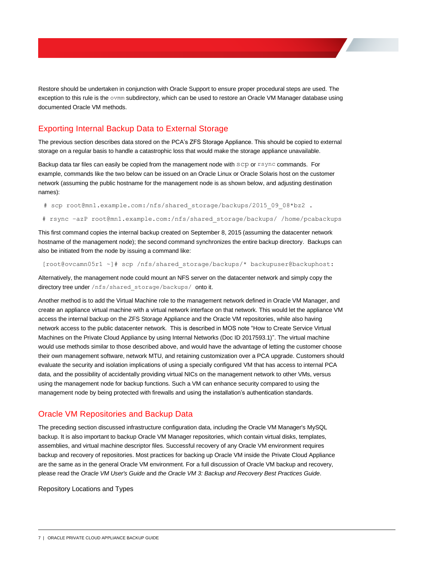Restore should be undertaken in conjunction with Oracle Support to ensure proper procedural steps are used. The exception to this rule is the ovmm subdirectory, which can be used to restore an Oracle VM Manager database using documented Oracle VM methods.

# <span id="page-8-0"></span>Exporting Internal Backup Data to External Storage

The previous section describes data stored on the PCA's ZFS Storage Appliance. This should be copied to external storage on a regular basis to handle a catastrophic loss that would make the storage appliance unavailable.

Backup data tar files can easily be copied from the management node with scp or rsync commands. For example, commands like the two below can be issued on an Oracle Linux or Oracle Solaris host on the customer network (assuming the public hostname for the management node is as shown below, and adjusting destination names):

# scp root@mn1.example.com:/nfs/shared storage/backups/2015 09 08\*bz2 .

# rsync -azP root@mn1.example.com:/nfs/shared storage/backups/ /home/pcabackups

This first command copies the internal backup created on September 8, 2015 (assuming the datacenter network hostname of the management node); the second command synchronizes the entire backup directory. Backups can also be initiated from the node by issuing a command like:

[root@ovcamn05r1 ~]# scp /nfs/shared\_storage/backups/\* backupuser@backuphost:

Alternatively, the management node could mount an NFS server on the datacenter network and simply copy the directory tree under /nfs/shared storage/backups/ onto it.

Another method is to add the Virtual Machine role to the management network defined in Oracle VM Manager, and create an appliance virtual machine with a virtual network interface on that network. This would let the appliance VM access the internal backup on the ZFS Storage Appliance and the Oracle VM repositories, while also having network access to the public datacenter network. This is described in MOS note "How to Create Service Virtual Machines on the Private Cloud Appliance by using Internal Networks (Doc ID 2017593.1)". The virtual machine would use methods similar to those described above, and would have the advantage of letting the customer choose their own management software, network MTU, and retaining customization over a PCA upgrade. Customers should evaluate the security and isolation implications of using a specially configured VM that has access to internal PCA data, and the possibility of accidentally providing virtual NICs on the management network to other VMs, versus using the management node for backup functions. Such a VM can enhance security compared to using the management node by being protected with firewalls and using the installation's authentication standards.

# <span id="page-8-1"></span>Oracle VM Repositories and Backup Data

The preceding section discussed infrastructure configuration data, including the Oracle VM Manager's MySQL backup. It is also important to backup Oracle VM Manager repositories, which contain virtual disks, templates, assemblies, and virtual machine descriptor files. Successful recovery of any Oracle VM environment requires backup and recovery of repositories. Most practices for backing up Oracle VM inside the Private Cloud Appliance are the same as in the general Oracle VM environment. For a full discussion of Oracle VM backup and recovery, please read the *Oracle VM User's Guide* and *the Oracle VM 3: Backup and Recovery Best Practices Guide*.

<span id="page-8-2"></span>Repository Locations and Types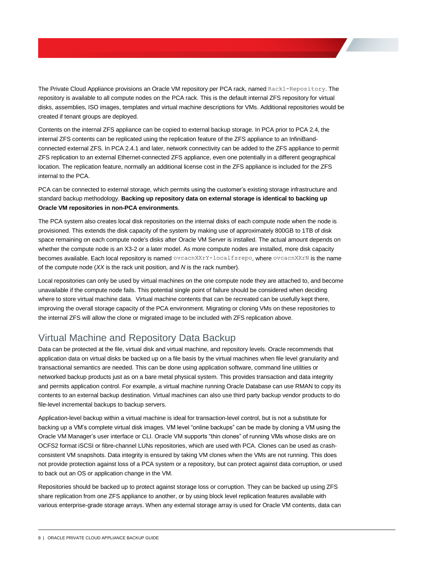The Private Cloud Appliance provisions an Oracle VM repository per PCA rack, named Rack1-Repository. The repository is available to all compute nodes on the PCA rack. This is the default internal ZFS repository for virtual disks, assemblies, ISO images, templates and virtual machine descriptions for VMs. Additional repositories would be created if tenant groups are deployed.

Contents on the internal ZFS appliance can be copied to external backup storage. In PCA prior to PCA 2.4, the internal ZFS contents can be replicated using the replication feature of the ZFS appliance to an InfiniBandconnected external ZFS. In PCA 2.4.1 and later, network connectivity can be added to the ZFS appliance to permit ZFS replication to an external Ethernet-connected ZFS appliance, even one potentially in a different geographical location. The replication feature, normally an additional license cost in the ZFS appliance is included for the ZFS internal to the PCA.

PCA can be connected to external storage, which permits using the customer's existing storage infrastructure and standard backup methodology. **Backing up repository data on external storage is identical to backing up Oracle VM repositories in non-PCA environments**.

The PCA system also creates local disk repositories on the internal disks of each compute node when the node is provisioned. This extends the disk capacity of the system by making use of approximately 800GB to 1TB of disk space remaining on each compute node's disks after Oracle VM Server is installed. The actual amount depends on whether the compute node is an X3-2 or a later model. As more compute nodes are installed, more disk capacity becomes available. Each local repository is named ovcacnXXrY-localfsrepo, where ovcacnXXrN is the name of the compute node (*XX* is the rack unit position, and *N* is the rack number).

Local repositories can only be used by virtual machines on the one compute node they are attached to, and become unavailable if the compute node fails. This potential single point of failure should be considered when deciding where to store virtual machine data. Virtual machine contents that can be recreated can be usefully kept there, improving the overall storage capacity of the PCA environment. Migrating or cloning VMs on these repositories to the internal ZFS will allow the clone or migrated image to be included with ZFS replication above.

# Virtual Machine and Repository Data Backup

Data can be protected at the file, virtual disk and virtual machine, and repository levels. Oracle recommends that application data on virtual disks be backed up on a file basis by the virtual machines when file level granularity and transactional semantics are needed. This can be done using application software, command line utilities or networked backup products just as on a bare metal physical system. This provides transaction and data integrity and permits application control. For example, a virtual machine running Oracle Database can use RMAN to copy its contents to an external backup destination. Virtual machines can also use third party backup vendor products to do file-level incremental backups to backup servers.

Application-level backup within a virtual machine is ideal for transaction-level control, but is not a substitute for backing up a VM's complete virtual disk images. VM level "online backups" can be made by cloning a VM using the Oracle VM Manager's user interface or CLI. Oracle VM supports "thin clones" of running VMs whose disks are on OCFS2 format iSCSI or fibre-channel LUNs repositories, which are used with PCA. Clones can be used as crashconsistent VM snapshots. Data integrity is ensured by taking VM clones when the VMs are not running. This does not provide protection against loss of a PCA system or a repository, but can protect against data corruption, or used to back out an OS or application change in the VM.

Repositories should be backed up to protect against storage loss or corruption. They can be backed up using ZFS share replication from one ZFS appliance to another, or by using block level replication features available with various enterprise-grade storage arrays. When any external storage array is used for Oracle VM contents, data can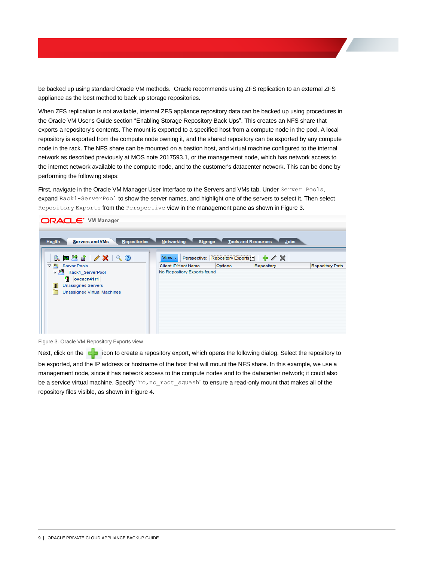be backed up using standard Oracle VM methods. Oracle recommends using ZFS replication to an external ZFS appliance as the best method to back up storage repositories.

When ZFS replication is not available, internal ZFS appliance repository data can be backed up using procedures in the Oracle VM User's Guide section "Enabling Storage Repository Back Ups". This creates an NFS share that exports a repository's contents. The mount is exported to a specified host from a compute node in the pool. A local repository is exported from the compute node owning it, and the shared repository can be exported by any compute node in the rack. The NFS share can be mounted on a bastion host, and virtual machine configured to the internal network as described previously at MOS note 2017593.1, or the management node, which has network access to the internet network available to the compute node, and to the customer's datacenter network. This can be done by performing the following steps:

First, navigate in the Oracle VM Manager User Interface to the Servers and VMs tab. Under Server Pools, expand Rack1-ServerPool to show the server names, and highlight one of the servers to select it. Then select Repository Exports from the Perspective view in the management pane as shown in Figure 3.



Figure 3. Oracle VM Repository Exports view

Next, click on the **interpret in the interpret a** repository export, which opens the following dialog. Select the repository to be exported, and the IP address or hostname of the host that will mount the NFS share. In this example, we use a management node, since it has network access to the compute nodes and to the datacenter network; it could also be a service virtual machine. Specify "ro, no root squash" to ensure a read-only mount that makes all of the repository files visible, as shown in Figure 4.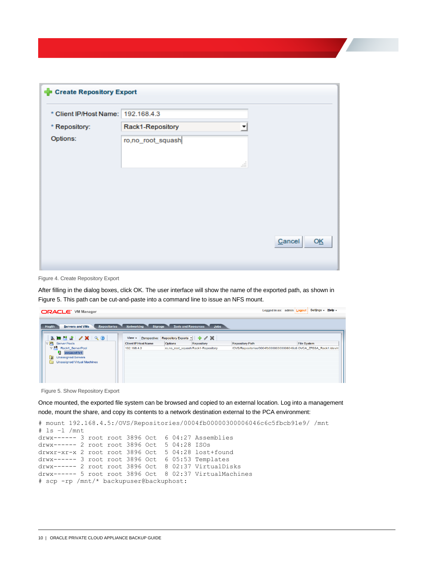| ← Create Repository Export         |                       |              |
|------------------------------------|-----------------------|--------------|
| * Client IP/Host Name: 192.168.4.3 |                       |              |
| * Repository:                      | Rack1-Repository<br>▼ |              |
| Options:                           | ro,no_root_squash     |              |
|                                    | ii                    |              |
|                                    |                       |              |
|                                    |                       |              |
|                                    |                       |              |
|                                    |                       |              |
|                                    |                       | Cancel<br>OĶ |
|                                    |                       |              |

Figure 4. Create Repository Export

After filling in the dialog boxes, click OK. The user interface will show the name of the exported path, as shown in Figure 5. This path can be cut-and-paste into a command line to issue an NFS mount.

| <b>ORACLE' VM Manager</b>                                                                                                                |                            |                |                                    |                        | Settings + Help +<br>Logged in as: admin   Logout                |  |  |
|------------------------------------------------------------------------------------------------------------------------------------------|----------------------------|----------------|------------------------------------|------------------------|------------------------------------------------------------------|--|--|
| <b>Repositories</b><br>Tools and Resources Jobs<br><b>Networking</b><br><b>Servers and VMs</b><br><b>Health</b><br><b>Storage</b>        |                            |                |                                    |                        |                                                                  |  |  |
| BMTT/XQ<br>View $\arrow$ Perspective: Repository Exports $\cdot$ $\cdot$ $\cdot$ X                                                       |                            |                |                                    |                        |                                                                  |  |  |
| <b>BU</b> Server Pools<br>$\nabla$                                                                                                       | <b>Client IP/Host Name</b> | <b>Options</b> | Repository                         | <b>Repository Path</b> | <b>File System</b>                                               |  |  |
| <b>V Bill</b> Rack1 ServerPool<br>divideo overall and<br>$\mathbf{H}$<br><b>Unassigned Servers</b><br><b>Unassigned Virtual Machines</b> | 192.168.4.3                |                | ro,no root squash Rack1-Repository |                        | /OVS/Repositories/0004fb00000300006046c6 OVCA ZFSSA Rack1:/dev/n |  |  |

Figure 5. Show Repository Export

Once mounted, the exported file system can be browsed and copied to an external location. Log into a management node, mount the share, and copy its contents to a network destination external to the PCA environment:

```
# mount 192.168.4.5:/OVS/Repositories/0004fb00000300006046c6c5fbcb91e9/ /mnt
# ls –l /mnt
drwx------ 3 root root 3896 Oct 6 04:27 Assemblies
drwx------ 2 root root 3896 Oct 5 04:28 ISOs
drwxr-xr-x 2 root root 3896 Oct 5 04:28 lost+found
drwx------ 3 root root 3896 Oct 6 05:53 Templates
drwx------ 2 root root 3896 Oct 8 02:37 VirtualDisks
drwx------ 5 root root 3896 Oct 8 02:37 VirtualMachines
# scp -rp /mnt/* backupuser@backuphost:
```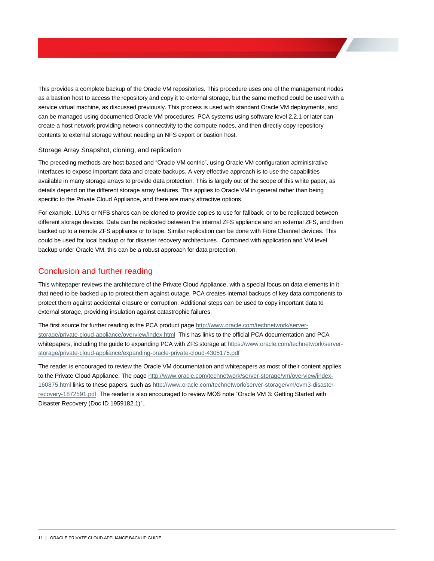This provides a complete backup of the Oracle VM repositories. This procedure uses one of the management nodes as a bastion host to access the repository and copy it to external storage, but the same method could be used with a service virtual machine, as discussed previously. This process is used with standard Oracle VM deployments, and can be managed using documented Oracle VM procedures. PCA systems using software level 2.2.1 or later can create a host network providing network connectivity to the compute nodes, and then directly copy repository contents to external storage without needing an NFS export or bastion host.

#### <span id="page-12-0"></span>Storage Array Snapshot, cloning, and replication

The preceding methods are host-based and "Oracle VM centric", using Oracle VM configuration administrative interfaces to expose important data and create backups. A very effective approach is to use the capabilities available in many storage arrays to provide data protection. This is largely out of the scope of this white paper, as details depend on the different storage array features. This applies to Oracle VM in general rather than being specific to the Private Cloud Appliance, and there are many attractive options.

For example, LUNs or NFS shares can be cloned to provide copies to use for fallback, or to be replicated between different storage devices. Data can be replicated between the internal ZFS appliance and an external ZFS, and then backed up to a remote ZFS appliance or to tape. Similar replication can be done with Fibre Channel devices. This could be used for local backup or for disaster recovery architectures. Combined with application and VM level backup under Oracle VM, this can be a robust approach for data protection.

# <span id="page-12-1"></span>Conclusion and further reading

This whitepaper reviews the architecture of the Private Cloud Appliance, with a special focus on data elements in it that need to be backed up to protect them against outage. PCA creates internal backups of key data components to protect them against accidental erasure or corruption. Additional steps can be used to copy important data to external storage, providing insulation against catastrophic failures.

The first source for further reading is the PCA product pag[e http://www.oracle.com/technetwork/server](http://www.oracle.com/technetwork/server-storage/private-cloud-appliance/overview/index.html)[storage/private-cloud-appliance/overview/index.html](http://www.oracle.com/technetwork/server-storage/private-cloud-appliance/overview/index.html) This has links to the official PCA documentation and PCA whitepapers, including the guide to expanding PCA with ZFS storage at https://www.oracle.com/technetwork/serverstorage/private-cloud-appliance/expanding-oracle-private-cloud-4305175.pdf

The reader is encouraged to review the Oracle VM documentation and whitepapers as most of their content applies to the Private Cloud Appliance. The pag[e http://www.oracle.com/technetwork/server-storage/vm/overview/index-](http://www.oracle.com/technetwork/server-storage/vm/overview/index-160875.html)[160875.html](http://www.oracle.com/technetwork/server-storage/vm/overview/index-160875.html) links to these papers, such a[s http://www.oracle.com/technetwork/server-storage/vm/ovm3-disaster](http://www.oracle.com/technetwork/server-storage/vm/ovm3-disaster-recovery-1872591.pdf)[recovery-1872591.pdf](http://www.oracle.com/technetwork/server-storage/vm/ovm3-disaster-recovery-1872591.pdf) The reader is also encouraged to review MOS note "Oracle VM 3: Getting Started with Disaster Recovery (Doc ID 1959182.1)"..